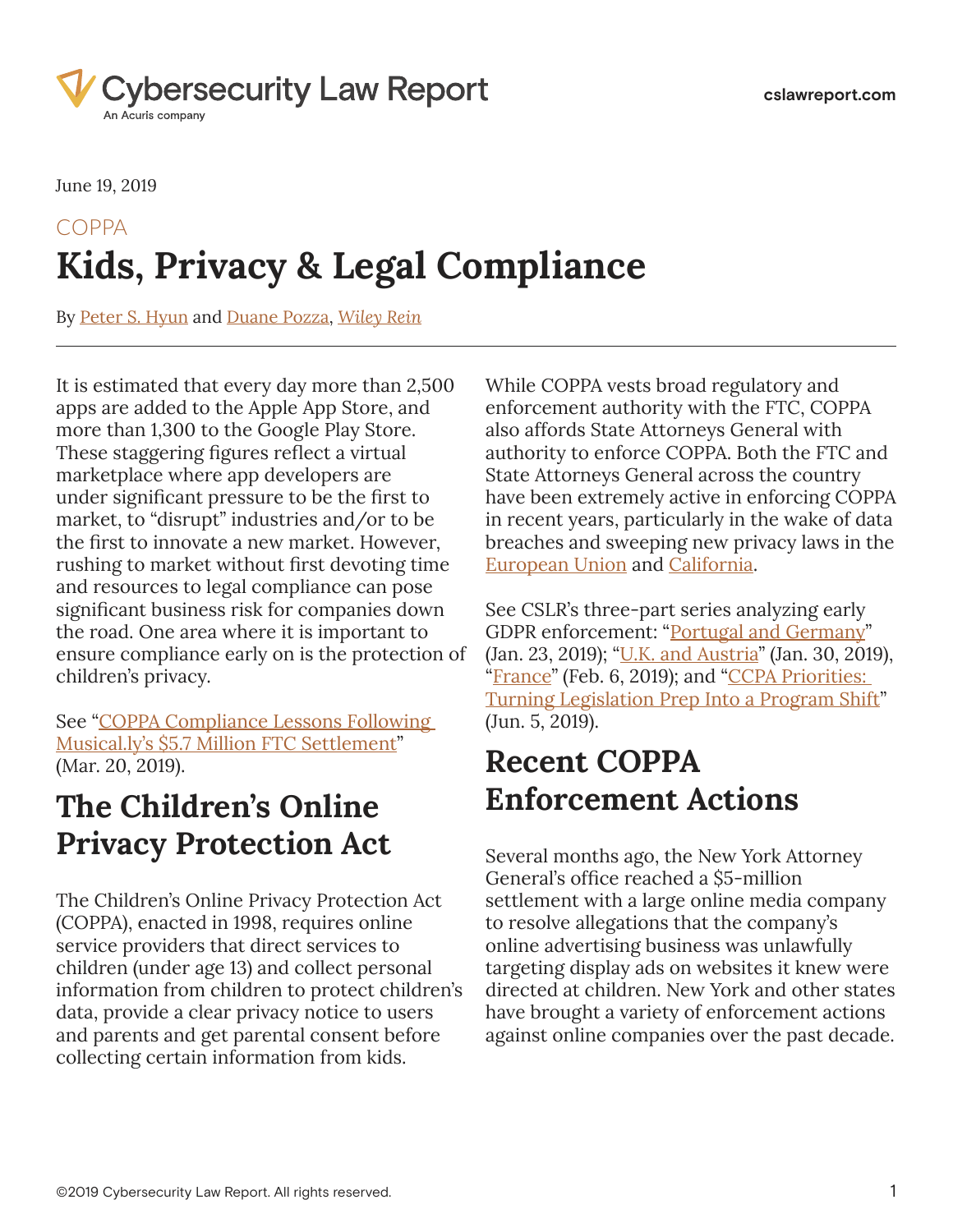

June 19, 2019

# **Kids, Privacy & Legal Compliance** COPPA

By [Peter S. Hyun](https://www.cslawreport.com/search/?tagType=People&tagName=Peter+S.+Hyun&tagID=119626) and [Duane Pozza,](https://www.cslawreport.com/search/?tagType=People&tagName=Duane+Pozza&tagID=87306) *[Wiley Rein](https://www.cslawreport.com/search/?tagType=Entities&tagName=Wiley+Rein&tagID=69391)*

It is estimated that every day more than 2,500 apps are added to the Apple App Store, and more than 1,300 to the Google Play Store. These staggering figures reflect a virtual marketplace where app developers are under significant pressure to be the first to market, to "disrupt" industries and/or to be the first to innovate a new market. However, rushing to market without first devoting time and resources to legal compliance can pose significant business risk for companies down the road. One area where it is important to ensure compliance early on is the protection of children's privacy.

See "[COPPA Compliance Lessons Following](https://www.cslawreport.com/2688936/coppa-compliance-lessons-following-musicallys-and3657-million-ftc-settlement.thtml)  [Musical.ly's \\$5.7 Million FTC Settlement](https://www.cslawreport.com/2688936/coppa-compliance-lessons-following-musicallys-and3657-million-ftc-settlement.thtml)" (Mar. 20, 2019).

## **The Children's Online Privacy Protection Act**

The Children's Online Privacy Protection Act (COPPA), enacted in 1998, requires online service providers that direct services to children (under age 13) and collect personal information from children to protect children's data, provide a clear privacy notice to users and parents and get parental consent before collecting certain information from kids.

While COPPA vests broad regulatory and enforcement authority with the FTC, COPPA also affords State Attorneys General with authority to enforce COPPA. Both the FTC and State Attorneys General across the country have been extremely active in enforcing COPPA in recent years, particularly in the wake of data breaches and sweeping new privacy laws in the [European Union](https://eugdpr.org/the-regulation/) and [California](https://www.caprivacy.org/about).

See CSLR's three-part series analyzing early GDPR enforcement: "[Portugal and Germany](https://www.cslawreport.com/2651841/analyzingearly-gdpr-enforcement-portugal-and-germany.thtml)" (Jan. 23, 2019); ["U.K. and Austria"](https://www.cslawreport.com/2660611/analyzing-early-gdpr-enforcement-uk-and-austria.thtml) (Jan. 30, 2019), "[France](https://www.cslawreport.com/2662451/analyzing-early-gdpr-enforcement-france.thtml)" (Feb. 6, 2019); and "CCPA Priorities: [Turning Legislation Prep Into a Program Shift](https://www.cslawreport.com/2750981/ccpa-priorities-turning-legislation-prep-into-a-program-shift.thtml)" (Jun. 5, 2019).

## **Recent COPPA Enforcement Actions**

Several months ago, the New York Attorney General's office reached a \$5‑million settlement with a large online media company to resolve allegations that the company's online advertising business was unlawfully targeting display ads on websites it knew were directed at children. New York and other states have brought a variety of enforcement actions against online companies over the past decade.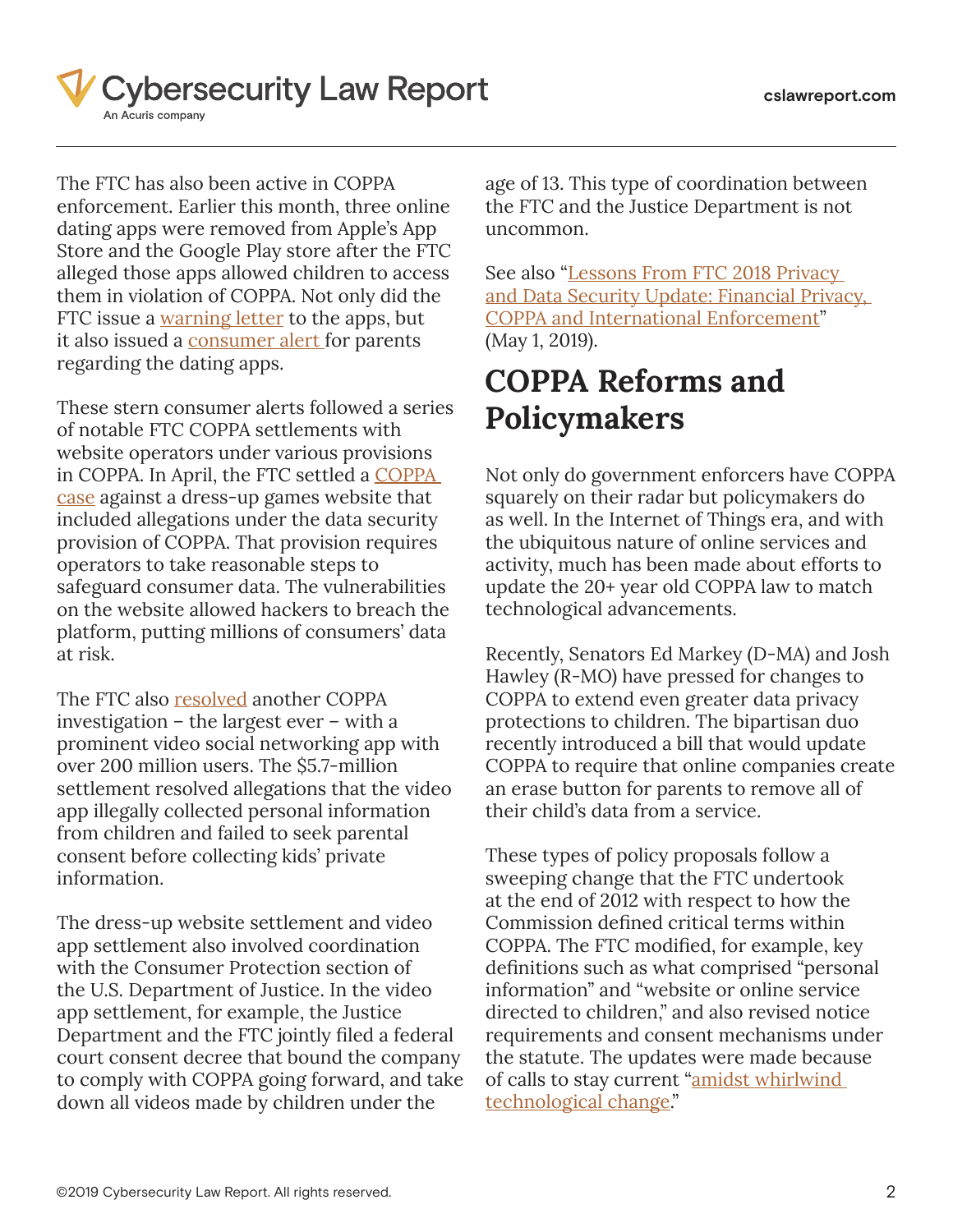

The FTC has also been active in COPPA enforcement. Earlier this month, three online dating apps were removed from Apple's App Store and the Google Play store after the FTC alleged those apps allowed children to access them in violation of COPPA. Not only did the FTC issue a [warning letter](https://cdn.wide-area.com/acuris/files/cybersecurity-law-report/industrymaterials/wildec_letter_redacted.pdf) to the apps, but it also issued a [consumer alert f](https://cdn.wide-area.com/acuris/files/cybersecurity-law-report/industrymaterials/Parental%20Advisory_%20Dating%20Apps%20_%20Consumer%20Information.pdf)or parents regarding the dating apps.

These stern consumer alerts followed a series of notable FTC COPPA settlements with website operators under various provisions in COPPA. In April, the FTC settled a [COPPA](https://cdn.wide-area.com/acuris/files/cybersecurity-law-report/legalmaterials/FTC%20Alleges%20Operators%20of%20Two%20Commercial%20Websites%20Failed%20to%20Protect%20Consumers%20Data%20_%20Federal%20Trade%20Commission.pdf)  [case](https://cdn.wide-area.com/acuris/files/cybersecurity-law-report/legalmaterials/FTC%20Alleges%20Operators%20of%20Two%20Commercial%20Websites%20Failed%20to%20Protect%20Consumers%20Data%20_%20Federal%20Trade%20Commission.pdf) against a dress-up games website that included allegations under the data security provision of COPPA. That provision requires operators to take reasonable steps to safeguard consumer data. The vulnerabilities on the website allowed hackers to breach the platform, putting millions of consumers' data at risk.

The FTC also [resolved](https://cdn.wide-area.com/acuris/files/cybersecurity-law-report/legalmaterials/Video%20Social%20Networking%20App%20Musical_ly%20Agrees%20to%20Settle%20FTC%20Allegations%20That%20it%20Violated%20Childrens%20Privacy%20Law%20_%20Federal%20Trade%20Commission.pdf) another COPPA investigation – the largest ever – with a prominent video social networking app with over 200 million users. The \$5.7-million settlement resolved allegations that the video app illegally collected personal information from children and failed to seek parental consent before collecting kids' private information.

The dress-up website settlement and video app settlement also involved coordination with the Consumer Protection section of the U.S. Department of Justice. In the video app settlement, for example, the Justice Department and the FTC jointly filed a federal court consent decree that bound the company to comply with COPPA going forward, and take down all videos made by children under the

age of 13. This type of coordination between the FTC and the Justice Department is not uncommon.

See also "Lessons From FTC 2018 Privacy [and Data Security Update: Financial Privacy,](https://www.cslawreport.com/2731471/lessons-from-ftc-2018-privacy-and-data-security-update-financial-privacy-coppa-and-international-enforcement.thtml)  [COPPA and International Enforcement](https://www.cslawreport.com/2731471/lessons-from-ftc-2018-privacy-and-data-security-update-financial-privacy-coppa-and-international-enforcement.thtml)" (May 1, 2019).

## **COPPA Reforms and Policymakers**

Not only do government enforcers have COPPA squarely on their radar but policymakers do as well. In the Internet of Things era, and with the ubiquitous nature of online services and activity, much has been made about efforts to update the 20+ year old COPPA law to match technological advancements.

Recently, Senators Ed Markey (D-MA) and Josh Hawley (R-MO) have pressed for changes to COPPA to extend even greater data privacy protections to children. The bipartisan duo recently introduced a bill that would update COPPA to require that online companies create an erase button for parents to remove all of their child's data from a service.

These types of policy proposals follow a sweeping change that the FTC undertook at the end of 2012 with respect to how the Commission defined critical terms within COPPA. The FTC modified, for example, key definitions such as what comprised "personal information" and "website or online service directed to children," and also revised notice requirements and consent mechanisms under the statute. The updates were made because of calls to stay current "amidst whirlwind [technological change](https://cdn.wide-area.com/acuris/files/cybersecurity-law-report/legalmaterials/121003caru.pdf)."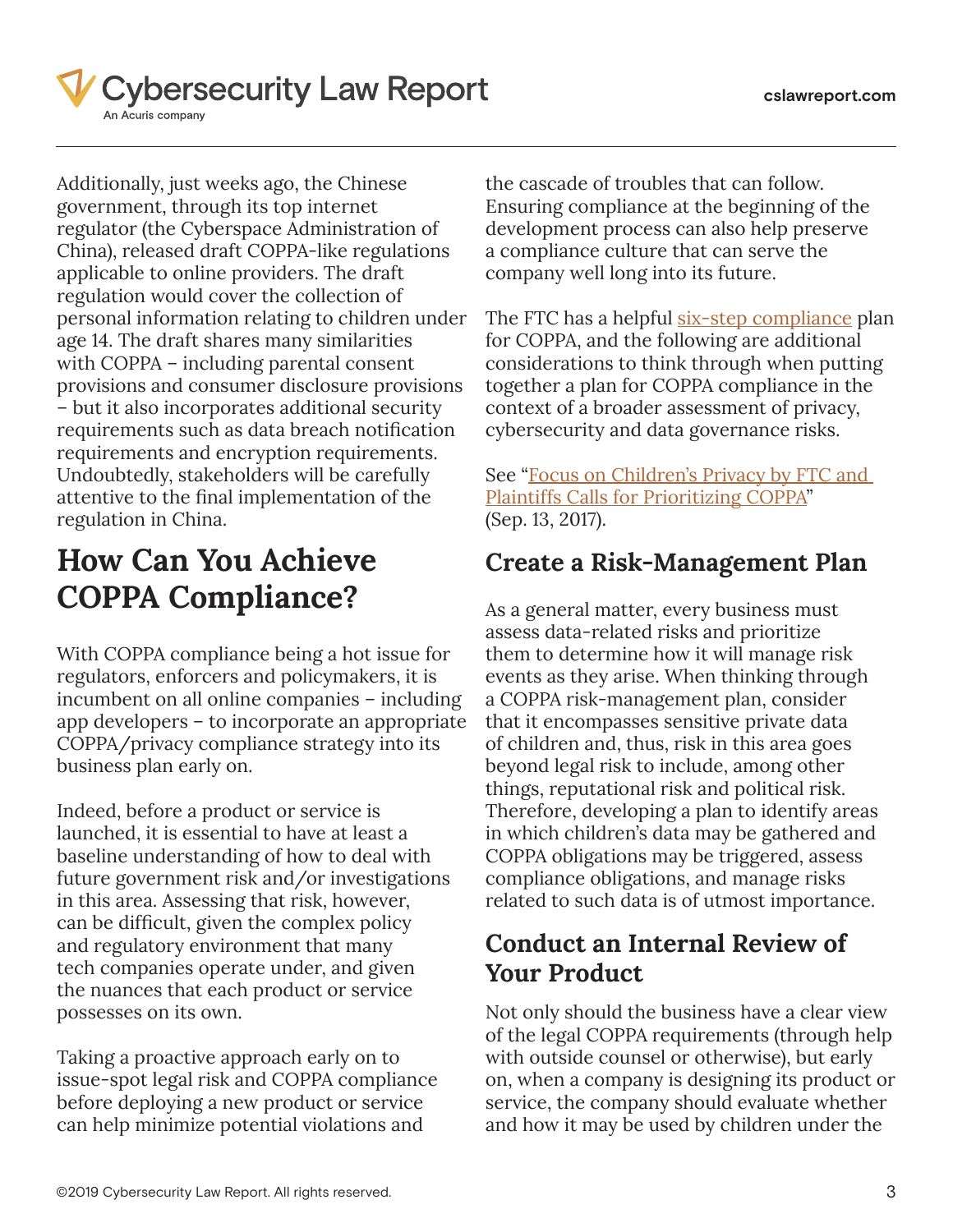

Additionally, just weeks ago, the Chinese government, through its top internet regulator (the Cyberspace Administration of China), released draft COPPA-like regulations applicable to online providers. The draft regulation would cover the collection of personal information relating to children under age 14. The draft shares many similarities with COPPA – including parental consent provisions and consumer disclosure provisions – but it also incorporates additional security requirements such as data breach notification requirements and encryption requirements. Undoubtedly, stakeholders will be carefully attentive to the final implementation of the regulation in China.

## **How Can You Achieve COPPA Compliance?**

With COPPA compliance being a hot issue for regulators, enforcers and policymakers, it is incumbent on all online companies – including app developers – to incorporate an appropriate COPPA/privacy compliance strategy into its business plan early on.

Indeed, before a product or service is launched, it is essential to have at least a baseline understanding of how to deal with future government risk and/or investigations in this area. Assessing that risk, however, can be difficult, given the complex policy and regulatory environment that many tech companies operate under, and given the nuances that each product or service possesses on its own.

Taking a proactive approach early on to issue-spot legal risk and COPPA compliance before deploying a new product or service can help minimize potential violations and

the cascade of troubles that can follow. Ensuring compliance at the beginning of the development process can also help preserve a compliance culture that can serve the company well long into its future.

The FTC has a helpful [six-step compliance](https://cdn.wide-area.com/acuris/files/cybersecurity-law-report/legalmaterials/Childrens%20Online%20Privacy%20Protection%20Rule_%20A%20Six-Step%20Compliance%20Plan%20for%20Your%20Business%20_%20Federal%20Trade%20Commission.pdf) plan for COPPA, and the following are additional considerations to think through when putting together a plan for COPPA compliance in the context of a broader assessment of privacy, cybersecurity and data governance risks.

See "Focus on Children's Privacy by FTC and [Plaintiffs Calls for Prioritizing COPPA](https://www.cslawreport.com/article/523)" (Sep. 13, 2017).

### **Create a Risk-Management Plan**

As a general matter, every business must assess data-related risks and prioritize them to determine how it will manage risk events as they arise. When thinking through a COPPA risk-management plan, consider that it encompasses sensitive private data of children and, thus, risk in this area goes beyond legal risk to include, among other things, reputational risk and political risk. Therefore, developing a plan to identify areas in which children's data may be gathered and COPPA obligations may be triggered, assess compliance obligations, and manage risks related to such data is of utmost importance.

### **Conduct an Internal Review of Your Product**

Not only should the business have a clear view of the legal COPPA requirements (through help with outside counsel or otherwise), but early on, when a company is designing its product or service, the company should evaluate whether and how it may be used by children under the